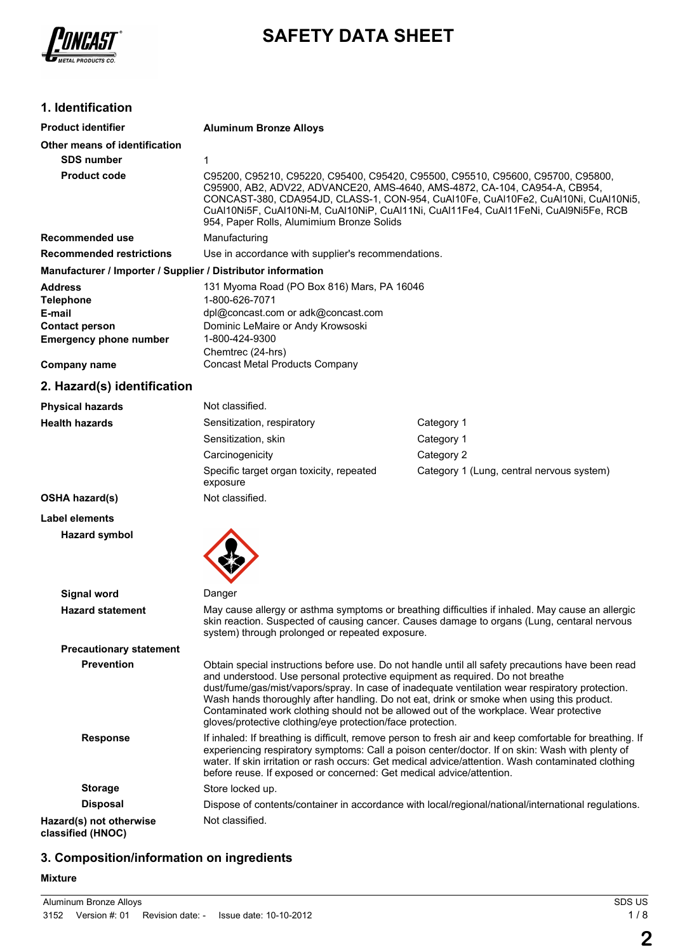

# **SAFETY DATA SHEET**

# **1. Identification**

| <b>Product identifier</b>                                                                              | <b>Aluminum Bronze Alloys</b>                                                                                                                                                                                                                                                                                                                                                                                                                                                                                                              |                                           |  |
|--------------------------------------------------------------------------------------------------------|--------------------------------------------------------------------------------------------------------------------------------------------------------------------------------------------------------------------------------------------------------------------------------------------------------------------------------------------------------------------------------------------------------------------------------------------------------------------------------------------------------------------------------------------|-------------------------------------------|--|
| Other means of identification                                                                          |                                                                                                                                                                                                                                                                                                                                                                                                                                                                                                                                            |                                           |  |
| <b>SDS number</b>                                                                                      | 1                                                                                                                                                                                                                                                                                                                                                                                                                                                                                                                                          |                                           |  |
| <b>Product code</b>                                                                                    | C95200, C95210, C95220, C95400, C95420, C95500, C95510, C95600, C95700, C95800,<br>C95900, AB2, ADV22, ADVANCE20, AMS-4640, AMS-4872, CA-104, CA954-A, CB954,<br>CONCAST-380, CDA954JD, CLASS-1, CON-954, CuAl10Fe, CuAl10Fe2, CuAl10Ni, CuAl10Ni5,<br>CuAl10Ni5F, CuAl10Ni-M, CuAl10NiP, CuAl11Ni, CuAl11Fe4, CuAl11FeNi, CuAl9Ni5Fe, RCB<br>954, Paper Rolls, Alumimium Bronze Solids                                                                                                                                                    |                                           |  |
| Recommended use                                                                                        | Manufacturing                                                                                                                                                                                                                                                                                                                                                                                                                                                                                                                              |                                           |  |
| <b>Recommended restrictions</b>                                                                        | Use in accordance with supplier's recommendations.                                                                                                                                                                                                                                                                                                                                                                                                                                                                                         |                                           |  |
| Manufacturer / Importer / Supplier / Distributor information                                           |                                                                                                                                                                                                                                                                                                                                                                                                                                                                                                                                            |                                           |  |
| <b>Address</b><br><b>Telephone</b><br>E-mail<br><b>Contact person</b><br><b>Emergency phone number</b> | 131 Myoma Road (PO Box 816) Mars, PA 16046<br>1-800-626-7071<br>dpl@concast.com or adk@concast.com<br>Dominic LeMaire or Andy Krowsoski<br>1-800-424-9300                                                                                                                                                                                                                                                                                                                                                                                  |                                           |  |
| <b>Company name</b>                                                                                    | Chemtrec (24-hrs)<br><b>Concast Metal Products Company</b>                                                                                                                                                                                                                                                                                                                                                                                                                                                                                 |                                           |  |
| 2. Hazard(s) identification                                                                            |                                                                                                                                                                                                                                                                                                                                                                                                                                                                                                                                            |                                           |  |
| <b>Physical hazards</b>                                                                                | Not classified.                                                                                                                                                                                                                                                                                                                                                                                                                                                                                                                            |                                           |  |
| <b>Health hazards</b>                                                                                  | Sensitization, respiratory                                                                                                                                                                                                                                                                                                                                                                                                                                                                                                                 | Category 1                                |  |
|                                                                                                        | Sensitization, skin                                                                                                                                                                                                                                                                                                                                                                                                                                                                                                                        | Category 1                                |  |
|                                                                                                        | Carcinogenicity                                                                                                                                                                                                                                                                                                                                                                                                                                                                                                                            | Category 2                                |  |
|                                                                                                        | Specific target organ toxicity, repeated<br>exposure                                                                                                                                                                                                                                                                                                                                                                                                                                                                                       | Category 1 (Lung, central nervous system) |  |
| <b>OSHA hazard(s)</b>                                                                                  | Not classified.                                                                                                                                                                                                                                                                                                                                                                                                                                                                                                                            |                                           |  |
| Label elements                                                                                         |                                                                                                                                                                                                                                                                                                                                                                                                                                                                                                                                            |                                           |  |
| <b>Hazard symbol</b>                                                                                   |                                                                                                                                                                                                                                                                                                                                                                                                                                                                                                                                            |                                           |  |
| Signal word                                                                                            | Danger                                                                                                                                                                                                                                                                                                                                                                                                                                                                                                                                     |                                           |  |
| <b>Hazard statement</b>                                                                                | May cause allergy or asthma symptoms or breathing difficulties if inhaled. May cause an allergic<br>skin reaction. Suspected of causing cancer. Causes damage to organs (Lung, centaral nervous<br>system) through prolonged or repeated exposure.                                                                                                                                                                                                                                                                                         |                                           |  |
| <b>Precautionary statement</b>                                                                         |                                                                                                                                                                                                                                                                                                                                                                                                                                                                                                                                            |                                           |  |
| <b>Prevention</b>                                                                                      | Obtain special instructions before use. Do not handle until all safety precautions have been read<br>and understood. Use personal protective equipment as required. Do not breathe<br>dust/fume/gas/mist/vapors/spray. In case of inadequate ventilation wear respiratory protection.<br>Wash hands thoroughly after handling. Do not eat, drink or smoke when using this product.<br>Contaminated work clothing should not be allowed out of the workplace. Wear protective<br>gloves/protective clothing/eye protection/face protection. |                                           |  |
| <b>Response</b>                                                                                        | If inhaled: If breathing is difficult, remove person to fresh air and keep comfortable for breathing. If<br>experiencing respiratory symptoms: Call a poison center/doctor. If on skin: Wash with plenty of<br>water. If skin irritation or rash occurs: Get medical advice/attention. Wash contaminated clothing<br>before reuse. If exposed or concerned: Get medical advice/attention.                                                                                                                                                  |                                           |  |
| <b>Storage</b>                                                                                         | Store locked up.                                                                                                                                                                                                                                                                                                                                                                                                                                                                                                                           |                                           |  |
| <b>Disposal</b>                                                                                        | Dispose of contents/container in accordance with local/regional/national/international regulations.                                                                                                                                                                                                                                                                                                                                                                                                                                        |                                           |  |
| Hazard(s) not otherwise                                                                                | Not classified.                                                                                                                                                                                                                                                                                                                                                                                                                                                                                                                            |                                           |  |

**classified (HNOC)**

# **3. Composition/information on ingredients**

#### **Mixture**

**2**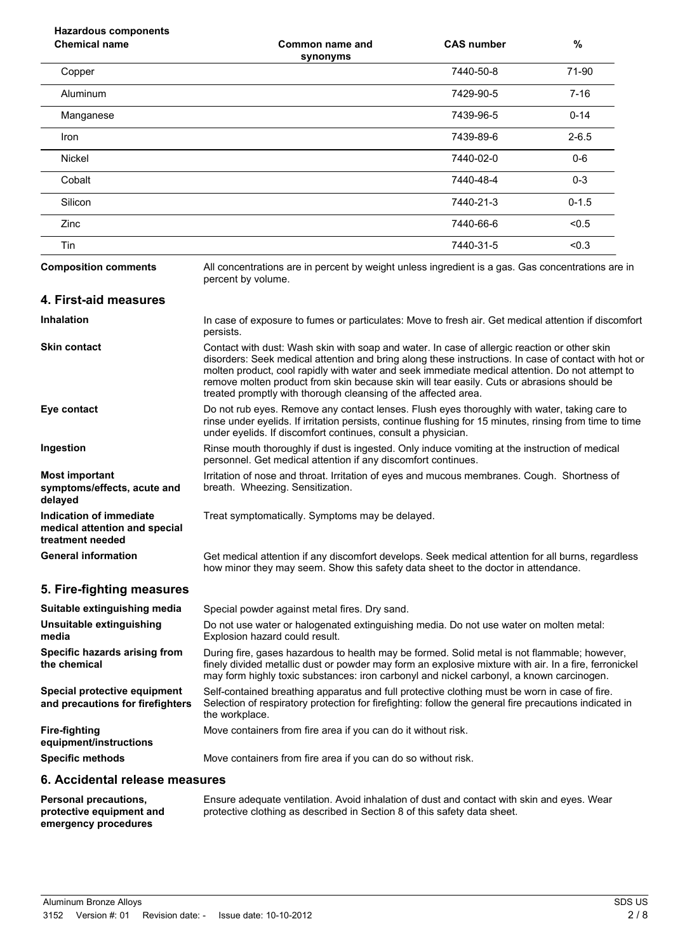| <b>Hazardous components</b><br><b>Chemical name</b>                                 | Common name and                                                                                                                                                                                                                                                                                                                                                                                                                                                         | <b>CAS number</b> | %         |
|-------------------------------------------------------------------------------------|-------------------------------------------------------------------------------------------------------------------------------------------------------------------------------------------------------------------------------------------------------------------------------------------------------------------------------------------------------------------------------------------------------------------------------------------------------------------------|-------------------|-----------|
| Copper                                                                              | synonyms                                                                                                                                                                                                                                                                                                                                                                                                                                                                | 7440-50-8         | 71-90     |
| Aluminum                                                                            |                                                                                                                                                                                                                                                                                                                                                                                                                                                                         | 7429-90-5         | $7 - 16$  |
| Manganese                                                                           |                                                                                                                                                                                                                                                                                                                                                                                                                                                                         | 7439-96-5         | $0 - 14$  |
| Iron                                                                                |                                                                                                                                                                                                                                                                                                                                                                                                                                                                         | 7439-89-6         | $2 - 6.5$ |
| <b>Nickel</b>                                                                       |                                                                                                                                                                                                                                                                                                                                                                                                                                                                         | 7440-02-0         | $0-6$     |
| Cobalt                                                                              |                                                                                                                                                                                                                                                                                                                                                                                                                                                                         | 7440-48-4         | $0 - 3$   |
| Silicon                                                                             |                                                                                                                                                                                                                                                                                                                                                                                                                                                                         | 7440-21-3         | $0 - 1.5$ |
| Zinc                                                                                |                                                                                                                                                                                                                                                                                                                                                                                                                                                                         | 7440-66-6         | < 0.5     |
| Tin                                                                                 |                                                                                                                                                                                                                                                                                                                                                                                                                                                                         | 7440-31-5         | < 0.3     |
| <b>Composition comments</b>                                                         | All concentrations are in percent by weight unless ingredient is a gas. Gas concentrations are in<br>percent by volume.                                                                                                                                                                                                                                                                                                                                                 |                   |           |
| 4. First-aid measures                                                               |                                                                                                                                                                                                                                                                                                                                                                                                                                                                         |                   |           |
| <b>Inhalation</b>                                                                   | In case of exposure to fumes or particulates: Move to fresh air. Get medical attention if discomfort<br>persists.                                                                                                                                                                                                                                                                                                                                                       |                   |           |
| <b>Skin contact</b>                                                                 | Contact with dust: Wash skin with soap and water. In case of allergic reaction or other skin<br>disorders: Seek medical attention and bring along these instructions. In case of contact with hot or<br>molten product, cool rapidly with water and seek immediate medical attention. Do not attempt to<br>remove molten product from skin because skin will tear easily. Cuts or abrasions should be<br>treated promptly with thorough cleansing of the affected area. |                   |           |
| Eye contact                                                                         | Do not rub eyes. Remove any contact lenses. Flush eyes thoroughly with water, taking care to<br>rinse under eyelids. If irritation persists, continue flushing for 15 minutes, rinsing from time to time<br>under eyelids. If discomfort continues, consult a physician.                                                                                                                                                                                                |                   |           |
| Ingestion                                                                           | Rinse mouth thoroughly if dust is ingested. Only induce vomiting at the instruction of medical<br>personnel. Get medical attention if any discomfort continues.                                                                                                                                                                                                                                                                                                         |                   |           |
| <b>Most important</b><br>symptoms/effects, acute and<br>delayed                     | Irritation of nose and throat. Irritation of eyes and mucous membranes. Cough. Shortness of<br>breath. Wheezing. Sensitization.                                                                                                                                                                                                                                                                                                                                         |                   |           |
| <b>Indication of immediate</b><br>medical attention and special<br>treatment needed | Treat symptomatically. Symptoms may be delayed.                                                                                                                                                                                                                                                                                                                                                                                                                         |                   |           |
| <b>General information</b>                                                          | Get medical attention if any discomfort develops. Seek medical attention for all burns, regardless<br>how minor they may seem. Show this safety data sheet to the doctor in attendance.                                                                                                                                                                                                                                                                                 |                   |           |
| 5. Fire-fighting measures                                                           |                                                                                                                                                                                                                                                                                                                                                                                                                                                                         |                   |           |
| Suitable extinguishing media                                                        | Special powder against metal fires. Dry sand.                                                                                                                                                                                                                                                                                                                                                                                                                           |                   |           |
| Unsuitable extinguishing<br>media                                                   | Do not use water or halogenated extinguishing media. Do not use water on molten metal:<br>Explosion hazard could result.                                                                                                                                                                                                                                                                                                                                                |                   |           |
| Specific hazards arising from<br>the chemical                                       | During fire, gases hazardous to health may be formed. Solid metal is not flammable; however,<br>finely divided metallic dust or powder may form an explosive mixture with air. In a fire, ferronickel<br>may form highly toxic substances: iron carbonyl and nickel carbonyl, a known carcinogen.                                                                                                                                                                       |                   |           |
| Special protective equipment<br>and precautions for firefighters                    | Self-contained breathing apparatus and full protective clothing must be worn in case of fire.<br>Selection of respiratory protection for firefighting: follow the general fire precautions indicated in<br>the workplace.                                                                                                                                                                                                                                               |                   |           |
| <b>Fire-fighting</b><br>equipment/instructions                                      | Move containers from fire area if you can do it without risk.                                                                                                                                                                                                                                                                                                                                                                                                           |                   |           |
| <b>Specific methods</b>                                                             | Move containers from fire area if you can do so without risk.                                                                                                                                                                                                                                                                                                                                                                                                           |                   |           |
| 6. Accidental release measures                                                      |                                                                                                                                                                                                                                                                                                                                                                                                                                                                         |                   |           |
| <b>Personal precautions,</b>                                                        | Ensure adequate ventilation. Avoid inhalation of dust and contact with skin and eyes. Wear                                                                                                                                                                                                                                                                                                                                                                              |                   |           |

protective clothing as described in Section 8 of this safety data sheet.

Aluminum Bronze Alloys SDS US 3152 Version #: 01 Revision date: - Issue date: 10-10-2012

**protective equipment and emergency procedures**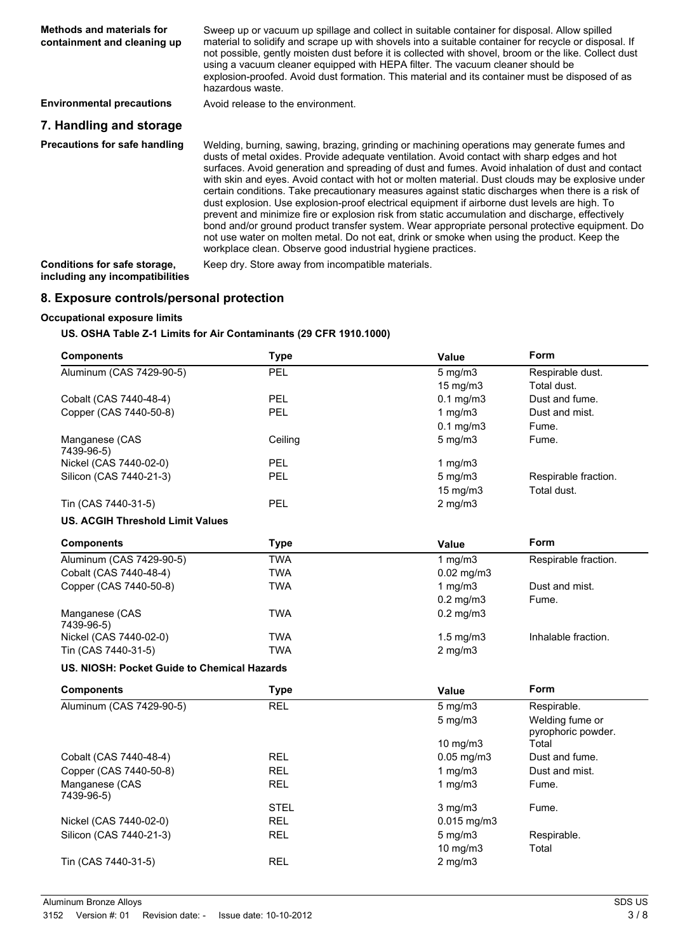| Methods and materials for<br>containment and cleaning up | Sweep up or vacuum up spillage and collect in suitable container for disposal. Allow spilled<br>material to solidify and scrape up with shovels into a suitable container for recycle or disposal. If<br>not possible, gently moisten dust before it is collected with shovel, broom or the like. Collect dust<br>using a vacuum cleaner equipped with HEPA filter. The vacuum cleaner should be<br>explosion-proofed. Avoid dust formation. This material and its container must be disposed of as<br>hazardous waste.                                                                                                                                                                                                                                                                                                                                                                                                                                                    |
|----------------------------------------------------------|----------------------------------------------------------------------------------------------------------------------------------------------------------------------------------------------------------------------------------------------------------------------------------------------------------------------------------------------------------------------------------------------------------------------------------------------------------------------------------------------------------------------------------------------------------------------------------------------------------------------------------------------------------------------------------------------------------------------------------------------------------------------------------------------------------------------------------------------------------------------------------------------------------------------------------------------------------------------------|
| <b>Environmental precautions</b>                         | Avoid release to the environment.                                                                                                                                                                                                                                                                                                                                                                                                                                                                                                                                                                                                                                                                                                                                                                                                                                                                                                                                          |
| 7. Handling and storage                                  |                                                                                                                                                                                                                                                                                                                                                                                                                                                                                                                                                                                                                                                                                                                                                                                                                                                                                                                                                                            |
| Precautions for safe handling                            | Welding, burning, sawing, brazing, grinding or machining operations may generate fumes and<br>dusts of metal oxides. Provide adequate ventilation. Avoid contact with sharp edges and hot<br>surfaces. Avoid generation and spreading of dust and fumes. Avoid inhalation of dust and contact<br>with skin and eyes. Avoid contact with hot or molten material. Dust clouds may be explosive under<br>certain conditions. Take precautionary measures against static discharges when there is a risk of<br>dust explosion. Use explosion-proof electrical equipment if airborne dust levels are high. To<br>prevent and minimize fire or explosion risk from static accumulation and discharge, effectively<br>bond and/or ground product transfer system. Wear appropriate personal protective equipment. Do<br>not use water on molten metal. Do not eat, drink or smoke when using the product. Keep the<br>workplace clean. Observe good industrial hygiene practices. |
| Conditions for safe storage,                             | Keep dry. Store away from incompatible materials.                                                                                                                                                                                                                                                                                                                                                                                                                                                                                                                                                                                                                                                                                                                                                                                                                                                                                                                          |

# **8. Exposure controls/personal protection**

## **Occupational exposure limits**

**including any incompatibilities**

**US. OSHA Table Z-1 Limits for Air Contaminants (29 CFR 1910.1000)**

| <b>Components</b>                           | <b>Type</b> | Value           | <b>Form</b>                           |
|---------------------------------------------|-------------|-----------------|---------------------------------------|
| Aluminum (CAS 7429-90-5)                    | PEL         | $5$ mg/m $3$    | Respirable dust.                      |
|                                             |             | 15 mg/m3        | Total dust.                           |
| Cobalt (CAS 7440-48-4)                      | <b>PEL</b>  | $0.1$ mg/m $3$  | Dust and fume.                        |
| Copper (CAS 7440-50-8)                      | PEL         | 1 $mg/m3$       | Dust and mist.                        |
|                                             |             | $0.1$ mg/m $3$  | Fume.                                 |
| Manganese (CAS<br>7439-96-5)                | Ceiling     | $5$ mg/m $3$    | Fume.                                 |
| Nickel (CAS 7440-02-0)                      | <b>PEL</b>  | 1 $mg/m3$       |                                       |
| Silicon (CAS 7440-21-3)                     | <b>PEL</b>  | $5$ mg/m $3$    | Respirable fraction.                  |
|                                             |             | 15 mg/m3        | Total dust.                           |
| Tin (CAS 7440-31-5)                         | <b>PEL</b>  | $2$ mg/m $3$    |                                       |
| <b>US. ACGIH Threshold Limit Values</b>     |             |                 |                                       |
| <b>Components</b>                           | <b>Type</b> | Value           | <b>Form</b>                           |
| Aluminum (CAS 7429-90-5)                    | <b>TWA</b>  | 1 $mg/m3$       | Respirable fraction.                  |
| Cobalt (CAS 7440-48-4)                      | <b>TWA</b>  | $0.02$ mg/m $3$ |                                       |
| Copper (CAS 7440-50-8)                      | <b>TWA</b>  | 1 $mg/m3$       | Dust and mist.                        |
|                                             |             | $0.2$ mg/m $3$  | Fume.                                 |
| Manganese (CAS<br>7439-96-5)                | <b>TWA</b>  | $0.2$ mg/m $3$  |                                       |
| Nickel (CAS 7440-02-0)                      | <b>TWA</b>  | $1.5$ mg/m $3$  | Inhalable fraction.                   |
| Tin (CAS 7440-31-5)                         | <b>TWA</b>  | $2$ mg/m $3$    |                                       |
| US. NIOSH: Pocket Guide to Chemical Hazards |             |                 |                                       |
| <b>Components</b>                           | <b>Type</b> | Value           | Form                                  |
| Aluminum (CAS 7429-90-5)                    | <b>REL</b>  | $5$ mg/m $3$    | Respirable.                           |
|                                             |             | $5$ mg/m $3$    | Welding fume or<br>pyrophoric powder. |
|                                             |             | 10 mg/m3        | Total                                 |
| Cobalt (CAS 7440-48-4)                      | <b>REL</b>  | $0.05$ mg/m $3$ | Dust and fume.                        |
| Copper (CAS 7440-50-8)                      | <b>REL</b>  | 1 $mg/m3$       | Dust and mist.                        |
| Manganese (CAS                              | <b>REL</b>  | 1 $mg/m3$       | Fume.                                 |
| 7439-96-5)                                  |             |                 |                                       |
|                                             | <b>STEL</b> | $3$ mg/m $3$    | Fume.                                 |
| Nickel (CAS 7440-02-0)                      | <b>REL</b>  | $0.015$ mg/m3   |                                       |
| Silicon (CAS 7440-21-3)                     | <b>REL</b>  | $5$ mg/m $3$    | Respirable.                           |
|                                             |             | 10 mg/m3        | Total                                 |
| Tin (CAS 7440-31-5)                         | <b>REL</b>  | $2$ mg/m $3$    |                                       |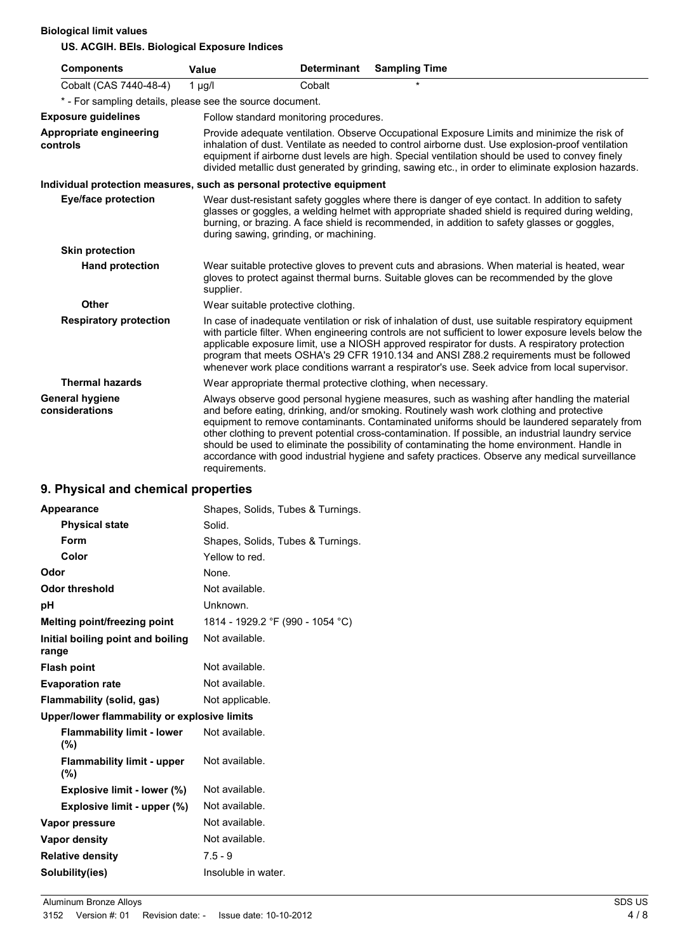**Biological limit values**

**US. ACGIH. BEIs. Biological Exposure Indices**

| <b>Components</b>                                                     | <b>Value</b>  | <b>Determinant</b>                     | <b>Sampling Time</b>                                                                                                                                                                                                                                                                                                                                                                                                                                                                                                                                                                           |
|-----------------------------------------------------------------------|---------------|----------------------------------------|------------------------------------------------------------------------------------------------------------------------------------------------------------------------------------------------------------------------------------------------------------------------------------------------------------------------------------------------------------------------------------------------------------------------------------------------------------------------------------------------------------------------------------------------------------------------------------------------|
| Cobalt (CAS 7440-48-4)                                                | $1 \mu g/l$   | Cobalt                                 |                                                                                                                                                                                                                                                                                                                                                                                                                                                                                                                                                                                                |
| * - For sampling details, please see the source document.             |               |                                        |                                                                                                                                                                                                                                                                                                                                                                                                                                                                                                                                                                                                |
| <b>Exposure guidelines</b>                                            |               | Follow standard monitoring procedures. |                                                                                                                                                                                                                                                                                                                                                                                                                                                                                                                                                                                                |
| <b>Appropriate engineering</b><br>controls                            |               |                                        | Provide adequate ventilation. Observe Occupational Exposure Limits and minimize the risk of<br>inhalation of dust. Ventilate as needed to control airborne dust. Use explosion-proof ventilation<br>equipment if airborne dust levels are high. Special ventilation should be used to convey finely<br>divided metallic dust generated by grinding, sawing etc., in order to eliminate explosion hazards.                                                                                                                                                                                      |
| Individual protection measures, such as personal protective equipment |               |                                        |                                                                                                                                                                                                                                                                                                                                                                                                                                                                                                                                                                                                |
| <b>Eye/face protection</b>                                            |               | during sawing, grinding, or machining. | Wear dust-resistant safety goggles where there is danger of eye contact. In addition to safety<br>glasses or goggles, a welding helmet with appropriate shaded shield is required during welding,<br>burning, or brazing. A face shield is recommended, in addition to safety glasses or goggles,                                                                                                                                                                                                                                                                                              |
| <b>Skin protection</b>                                                |               |                                        |                                                                                                                                                                                                                                                                                                                                                                                                                                                                                                                                                                                                |
| <b>Hand protection</b>                                                | supplier.     |                                        | Wear suitable protective gloves to prevent cuts and abrasions. When material is heated, wear<br>gloves to protect against thermal burns. Suitable gloves can be recommended by the glove                                                                                                                                                                                                                                                                                                                                                                                                       |
| <b>Other</b>                                                          |               | Wear suitable protective clothing.     |                                                                                                                                                                                                                                                                                                                                                                                                                                                                                                                                                                                                |
| <b>Respiratory protection</b>                                         |               |                                        | In case of inadequate ventilation or risk of inhalation of dust, use suitable respiratory equipment<br>with particle filter. When engineering controls are not sufficient to lower exposure levels below the<br>applicable exposure limit, use a NIOSH approved respirator for dusts. A respiratory protection<br>program that meets OSHA's 29 CFR 1910.134 and ANSI Z88.2 requirements must be followed<br>whenever work place conditions warrant a respirator's use. Seek advice from local supervisor.                                                                                      |
| <b>Thermal hazards</b>                                                |               |                                        | Wear appropriate thermal protective clothing, when necessary.                                                                                                                                                                                                                                                                                                                                                                                                                                                                                                                                  |
| <b>General hygiene</b><br>considerations                              | requirements. |                                        | Always observe good personal hygiene measures, such as washing after handling the material<br>and before eating, drinking, and/or smoking. Routinely wash work clothing and protective<br>equipment to remove contaminants. Contaminated uniforms should be laundered separately from<br>other clothing to prevent potential cross-contamination. If possible, an industrial laundry service<br>should be used to eliminate the possibility of contaminating the home environment. Handle in<br>accordance with good industrial hygiene and safety practices. Observe any medical surveillance |

# **9. Physical and chemical properties**

| <b>Appearance</b>                            | Shapes, Solids, Tubes & Turnings. |
|----------------------------------------------|-----------------------------------|
| <b>Physical state</b>                        | Solid.                            |
| Form                                         | Shapes, Solids, Tubes & Turnings. |
| Color                                        | Yellow to red.                    |
| Odor                                         | None.                             |
| <b>Odor threshold</b>                        | Not available.                    |
| рH                                           | Unknown.                          |
| Melting point/freezing point                 | 1814 - 1929.2 °F (990 - 1054 °C)  |
| Initial boiling point and boiling<br>range   | Not available.                    |
| <b>Flash point</b>                           | Not available.                    |
| <b>Evaporation rate</b>                      | Not available.                    |
| Flammability (solid, gas)                    | Not applicable.                   |
| Upper/lower flammability or explosive limits |                                   |
| <b>Flammability limit - lower</b><br>(%)     | Not available.                    |
| <b>Flammability limit - upper</b><br>(%)     | Not available.                    |
| Explosive limit - lower (%)                  | Not available.                    |
| Explosive limit - upper (%)                  | Not available.                    |
| Vapor pressure                               | Not available.                    |
| <b>Vapor density</b>                         | Not available.                    |
| <b>Relative density</b>                      | $7.5 - 9$                         |
| Solubility(ies)                              | Insoluble in water.               |
|                                              |                                   |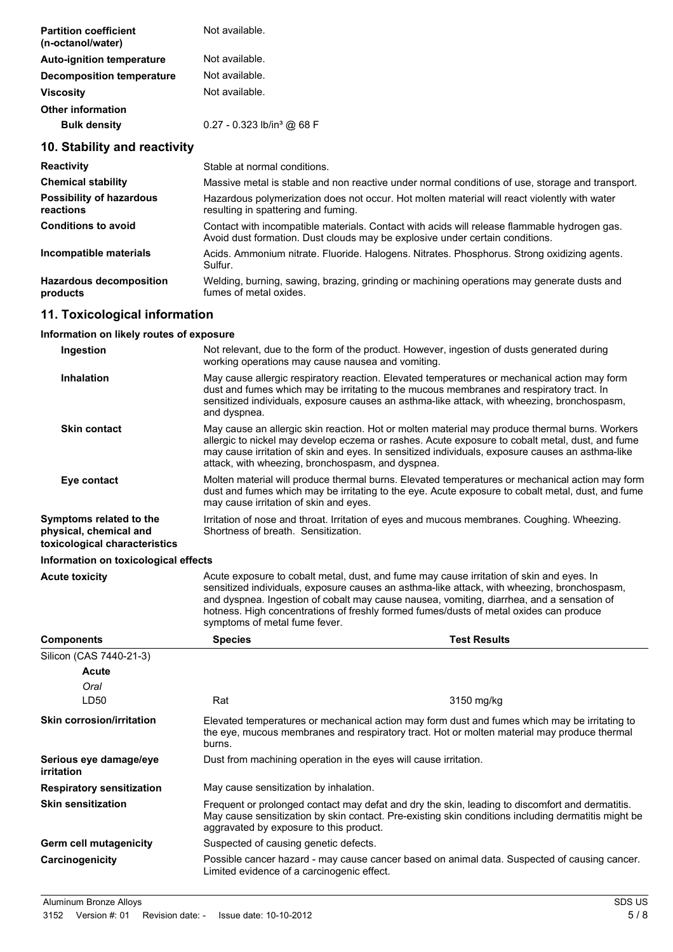| <b>Partition coefficient</b><br>(n-octanol/water) | Not available.                           |
|---------------------------------------------------|------------------------------------------|
| <b>Auto-ignition temperature</b>                  | Not available.                           |
| Decomposition temperature                         | Not available.                           |
| <b>Viscosity</b>                                  | Not available.                           |
| <b>Other information</b>                          |                                          |
| <b>Bulk density</b>                               | $0.27 - 0.323$ lb/in <sup>3</sup> @ 68 F |

# **10. Stability and reactivity**

| <b>Reactivity</b>                            | Stable at normal conditions.                                                                                                                                                 |
|----------------------------------------------|------------------------------------------------------------------------------------------------------------------------------------------------------------------------------|
| <b>Chemical stability</b>                    | Massive metal is stable and non reactive under normal conditions of use, storage and transport.                                                                              |
| <b>Possibility of hazardous</b><br>reactions | Hazardous polymerization does not occur. Hot molten material will react violently with water<br>resulting in spattering and fuming.                                          |
| <b>Conditions to avoid</b>                   | Contact with incompatible materials. Contact with acids will release flammable hydrogen gas.<br>Avoid dust formation. Dust clouds may be explosive under certain conditions. |
| Incompatible materials                       | Acids. Ammonium nitrate. Fluoride. Halogens. Nitrates. Phosphorus. Strong oxidizing agents.<br>Sulfur.                                                                       |
| <b>Hazardous decomposition</b><br>products   | Welding, burning, sawing, brazing, grinding or machining operations may generate dusts and<br>fumes of metal oxides.                                                         |

# **11. Toxicological information**

#### **Information on likely routes of exposure**

| Ingestion                                         | Not relevant, due to the form of the product. However, ingestion of dusts generated during<br>working operations may cause nausea and vomiting.                                                                                                                                                                                                            |
|---------------------------------------------------|------------------------------------------------------------------------------------------------------------------------------------------------------------------------------------------------------------------------------------------------------------------------------------------------------------------------------------------------------------|
| <b>Inhalation</b>                                 | May cause allergic respiratory reaction. Elevated temperatures or mechanical action may form<br>dust and fumes which may be irritating to the mucous membranes and respiratory tract. In<br>sensitized individuals, exposure causes an asthma-like attack, with wheezing, bronchospasm,<br>and dyspnea.                                                    |
| <b>Skin contact</b>                               | May cause an allergic skin reaction. Hot or molten material may produce thermal burns. Workers<br>allergic to nickel may develop eczema or rashes. Acute exposure to cobalt metal, dust, and fume<br>may cause irritation of skin and eyes. In sensitized individuals, exposure causes an asthma-like<br>attack, with wheezing, bronchospasm, and dyspnea. |
| Eye contact                                       | Molten material will produce thermal burns. Elevated temperatures or mechanical action may form<br>dust and fumes which may be irritating to the eye. Acute exposure to cobalt metal, dust, and fume<br>may cause irritation of skin and eyes.                                                                                                             |
| Symptoms related to the<br>physical, chemical and | Irritation of nose and throat. Irritation of eyes and mucous membranes. Coughing. Wheezing.<br>Shortness of breath. Sensitization.                                                                                                                                                                                                                         |

**toxicological characteristics**

#### **Information on toxicological effects**

| <b>Acute toxicity</b> | Acute exposure to cobalt metal, dust, and fume may cause irritation of skin and eyes. In<br>sensitized individuals, exposure causes an asthma-like attack, with wheezing, bronchospasm,<br>and dyspnea. Ingestion of cobalt may cause nausea, vomiting, diarrhea, and a sensation of<br>hotness. High concentrations of freshly formed fumes/dusts of metal oxides can produce<br>symptoms of metal fume fever. |
|-----------------------|-----------------------------------------------------------------------------------------------------------------------------------------------------------------------------------------------------------------------------------------------------------------------------------------------------------------------------------------------------------------------------------------------------------------|
|                       |                                                                                                                                                                                                                                                                                                                                                                                                                 |

| <b>Components</b>                           | <b>Species</b>                             | <b>Test Results</b>                                                                                                                                                                                    |
|---------------------------------------------|--------------------------------------------|--------------------------------------------------------------------------------------------------------------------------------------------------------------------------------------------------------|
| Silicon (CAS 7440-21-3)                     |                                            |                                                                                                                                                                                                        |
| <b>Acute</b>                                |                                            |                                                                                                                                                                                                        |
| Oral                                        |                                            |                                                                                                                                                                                                        |
| LD50                                        | Rat                                        | 3150 mg/kg                                                                                                                                                                                             |
| <b>Skin corrosion/irritation</b>            | burns.                                     | Elevated temperatures or mechanical action may form dust and fumes which may be irritating to<br>the eye, mucous membranes and respiratory tract. Hot or molten material may produce thermal           |
| Serious eye damage/eye<br><i>irritation</i> |                                            | Dust from machining operation in the eyes will cause irritation.                                                                                                                                       |
| <b>Respiratory sensitization</b>            | May cause sensitization by inhalation.     |                                                                                                                                                                                                        |
| <b>Skin sensitization</b>                   | aggravated by exposure to this product.    | Frequent or prolonged contact may defat and dry the skin, leading to discomfort and dermatitis.<br>May cause sensitization by skin contact. Pre-existing skin conditions including dermatitis might be |
| Germ cell mutagenicity                      | Suspected of causing genetic defects.      |                                                                                                                                                                                                        |
| Carcinogenicity                             | Limited evidence of a carcinogenic effect. | Possible cancer hazard - may cause cancer based on animal data. Suspected of causing cancer.                                                                                                           |

Aluminum Bronze Alloys SDS US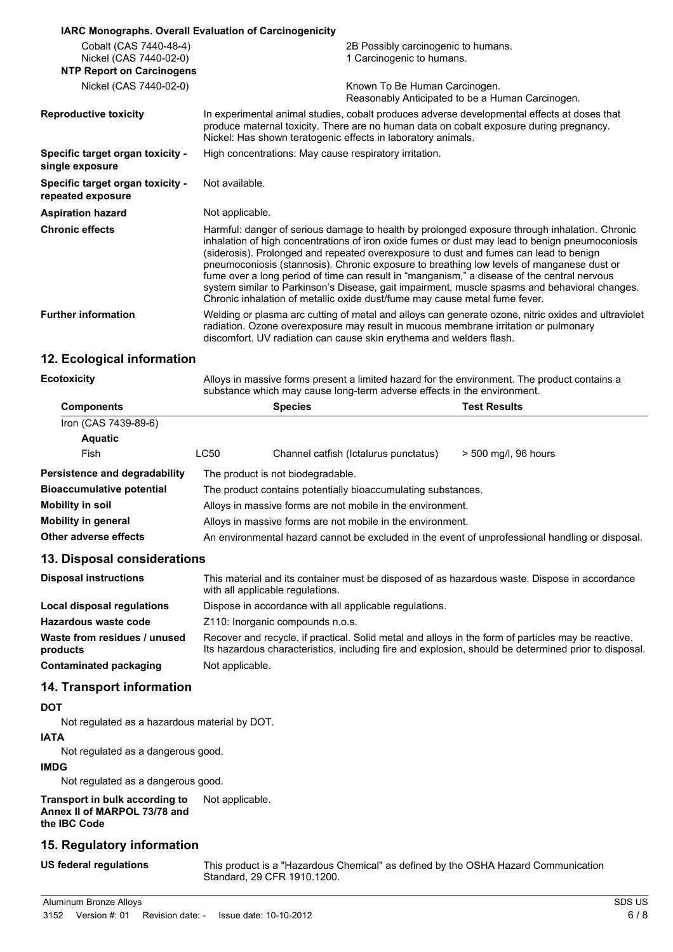| <b>IARC Monographs. Overall Evaluation of Carcinogenicity</b> |                                                                                                                                                                                                                                                                                                                                                                                                                                                                                                                                                                                                                                                                      |
|---------------------------------------------------------------|----------------------------------------------------------------------------------------------------------------------------------------------------------------------------------------------------------------------------------------------------------------------------------------------------------------------------------------------------------------------------------------------------------------------------------------------------------------------------------------------------------------------------------------------------------------------------------------------------------------------------------------------------------------------|
| Cobalt (CAS 7440-48-4)<br>Nickel (CAS 7440-02-0)              | 2B Possibly carcinogenic to humans.<br>1 Carcinogenic to humans.                                                                                                                                                                                                                                                                                                                                                                                                                                                                                                                                                                                                     |
| <b>NTP Report on Carcinogens</b>                              |                                                                                                                                                                                                                                                                                                                                                                                                                                                                                                                                                                                                                                                                      |
| Nickel (CAS 7440-02-0)                                        | Known To Be Human Carcinogen.<br>Reasonably Anticipated to be a Human Carcinogen.                                                                                                                                                                                                                                                                                                                                                                                                                                                                                                                                                                                    |
| <b>Reproductive toxicity</b>                                  | In experimental animal studies, cobalt produces adverse developmental effects at doses that<br>produce maternal toxicity. There are no human data on cobalt exposure during pregnancy.<br>Nickel: Has shown teratogenic effects in laboratory animals.                                                                                                                                                                                                                                                                                                                                                                                                               |
| Specific target organ toxicity -<br>single exposure           | High concentrations: May cause respiratory irritation.                                                                                                                                                                                                                                                                                                                                                                                                                                                                                                                                                                                                               |
| Specific target organ toxicity -<br>repeated exposure         | Not available.                                                                                                                                                                                                                                                                                                                                                                                                                                                                                                                                                                                                                                                       |
| <b>Aspiration hazard</b>                                      | Not applicable.                                                                                                                                                                                                                                                                                                                                                                                                                                                                                                                                                                                                                                                      |
| <b>Chronic effects</b>                                        | Harmful: danger of serious damage to health by prolonged exposure through inhalation. Chronic<br>inhalation of high concentrations of iron oxide fumes or dust may lead to benign pneumoconiosis<br>(siderosis). Prolonged and repeated overexposure to dust and fumes can lead to benign<br>pneumoconiosis (stannosis). Chronic exposure to breathing low levels of manganese dust or<br>fume over a long period of time can result in "manganism," a disease of the central nervous<br>system similar to Parkinson's Disease, gait impairment, muscle spasms and behavioral changes.<br>Chronic inhalation of metallic oxide dust/fume may cause metal fume fever. |
| <b>Further information</b>                                    | Welding or plasma arc cutting of metal and alloys can generate ozone, nitric oxides and ultraviolet<br>radiation. Ozone overexposure may result in mucous membrane irritation or pulmonary<br>discomfort. UV radiation can cause skin erythema and welders flash.                                                                                                                                                                                                                                                                                                                                                                                                    |
| 12 Ecological information                                     |                                                                                                                                                                                                                                                                                                                                                                                                                                                                                                                                                                                                                                                                      |

## **12. Ecological information**

| <b>Ecotoxicity</b>               | Alloys in massive forms present a limited hazard for the environment. The product contains a<br>substance which may cause long-term adverse effects in the environment. |                                       |                                                                                                 |  |
|----------------------------------|-------------------------------------------------------------------------------------------------------------------------------------------------------------------------|---------------------------------------|-------------------------------------------------------------------------------------------------|--|
| <b>Components</b>                |                                                                                                                                                                         | <b>Species</b>                        | <b>Test Results</b>                                                                             |  |
| Iron (CAS 7439-89-6)             |                                                                                                                                                                         |                                       |                                                                                                 |  |
| <b>Aquatic</b>                   |                                                                                                                                                                         |                                       |                                                                                                 |  |
| Fish                             | LC50                                                                                                                                                                    | Channel catfish (Ictalurus punctatus) | > 500 mg/l, 96 hours                                                                            |  |
| Persistence and degradability    |                                                                                                                                                                         | The product is not biodegradable.     |                                                                                                 |  |
| <b>Bioaccumulative potential</b> | The product contains potentially bioaccumulating substances.                                                                                                            |                                       |                                                                                                 |  |
| <b>Mobility in soil</b>          | Alloys in massive forms are not mobile in the environment.                                                                                                              |                                       |                                                                                                 |  |
| <b>Mobility in general</b>       | Alloys in massive forms are not mobile in the environment.                                                                                                              |                                       |                                                                                                 |  |
| <b>Other adverse effects</b>     |                                                                                                                                                                         |                                       | An environmental hazard cannot be excluded in the event of unprofessional handling or disposal. |  |

#### **13. Disposal considerations**

| <b>Disposal instructions</b>             | This material and its container must be disposed of as hazardous waste. Dispose in accordance<br>with all applicable regulations.                                                                           |  |
|------------------------------------------|-------------------------------------------------------------------------------------------------------------------------------------------------------------------------------------------------------------|--|
| Local disposal regulations               | Dispose in accordance with all applicable regulations.                                                                                                                                                      |  |
| Hazardous waste code                     | Z110: Inorganic compounds n.o.s.                                                                                                                                                                            |  |
| Waste from residues / unused<br>products | Recover and recycle, if practical. Solid metal and alloys in the form of particles may be reactive.<br>Its hazardous characteristics, including fire and explosion, should be determined prior to disposal. |  |
| Contaminated packaging                   | Not applicable.                                                                                                                                                                                             |  |

## **14. Transport information**

# **DOT**

Not regulated as a hazardous material by DOT.

# **IATA**

Not regulated as a dangerous good.

# **IMDG**

Not regulated as a dangerous good.

**Transport in bulk according to Annex II of MARPOL 73/78 and the IBC Code** Not applicable.

# **15. Regulatory information**

**US federal regulations** This product is a "Hazardous Chemical" as defined by the OSHA Hazard Communication Standard, 29 CFR 1910.1200.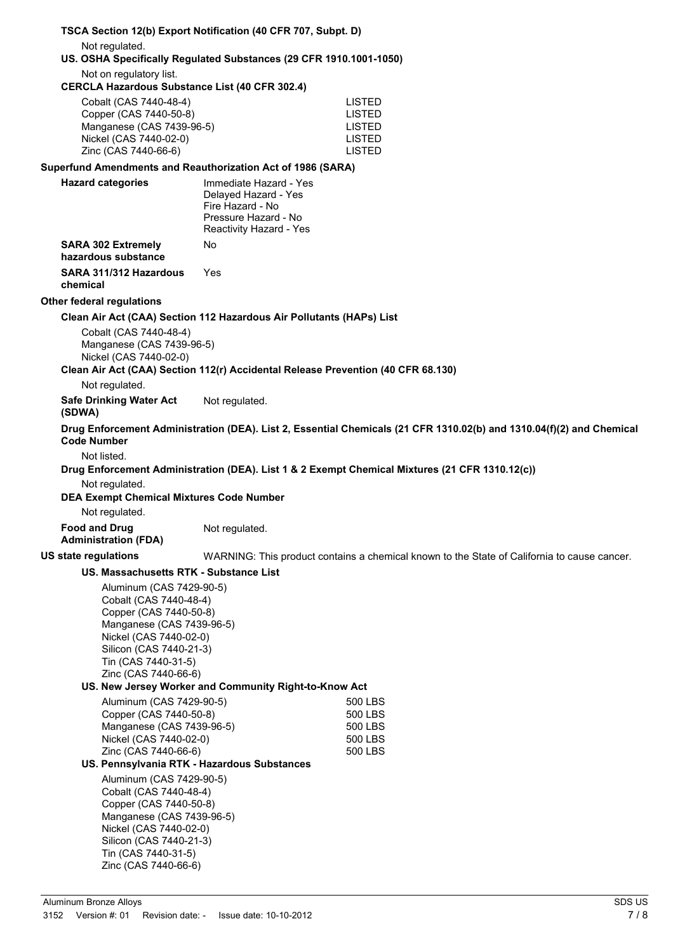|                                                                                                                                                                                                               | TSCA Section 12(b) Export Notification (40 CFR 707, Subpt. D)                                                         |                                                                                                                      |  |  |
|---------------------------------------------------------------------------------------------------------------------------------------------------------------------------------------------------------------|-----------------------------------------------------------------------------------------------------------------------|----------------------------------------------------------------------------------------------------------------------|--|--|
| Not regulated.<br>US. OSHA Specifically Regulated Substances (29 CFR 1910.1001-1050)                                                                                                                          |                                                                                                                       |                                                                                                                      |  |  |
| Not on regulatory list.<br><b>CERCLA Hazardous Substance List (40 CFR 302.4)</b>                                                                                                                              |                                                                                                                       |                                                                                                                      |  |  |
| Cobalt (CAS 7440-48-4)<br>Copper (CAS 7440-50-8)<br>Manganese (CAS 7439-96-5)<br>Nickel (CAS 7440-02-0)<br>Zinc (CAS 7440-66-6)                                                                               |                                                                                                                       | <b>LISTED</b><br><b>LISTED</b><br><b>LISTED</b><br><b>LISTED</b><br><b>LISTED</b>                                    |  |  |
| Superfund Amendments and Reauthorization Act of 1986 (SARA)                                                                                                                                                   |                                                                                                                       |                                                                                                                      |  |  |
| <b>Hazard categories</b>                                                                                                                                                                                      | Immediate Hazard - Yes<br>Delayed Hazard - Yes<br>Fire Hazard - No<br>Pressure Hazard - No<br>Reactivity Hazard - Yes |                                                                                                                      |  |  |
| <b>SARA 302 Extremely</b><br>hazardous substance                                                                                                                                                              | No                                                                                                                    |                                                                                                                      |  |  |
| SARA 311/312 Hazardous<br>chemical                                                                                                                                                                            | Yes                                                                                                                   |                                                                                                                      |  |  |
| <b>Other federal regulations</b>                                                                                                                                                                              |                                                                                                                       |                                                                                                                      |  |  |
|                                                                                                                                                                                                               | Clean Air Act (CAA) Section 112 Hazardous Air Pollutants (HAPs) List                                                  |                                                                                                                      |  |  |
| Cobalt (CAS 7440-48-4)<br>Manganese (CAS 7439-96-5)<br>Nickel (CAS 7440-02-0)                                                                                                                                 |                                                                                                                       |                                                                                                                      |  |  |
|                                                                                                                                                                                                               | Clean Air Act (CAA) Section 112(r) Accidental Release Prevention (40 CFR 68.130)                                      |                                                                                                                      |  |  |
| Not regulated.                                                                                                                                                                                                |                                                                                                                       |                                                                                                                      |  |  |
| <b>Safe Drinking Water Act</b><br>(SDWA)                                                                                                                                                                      | Not regulated.                                                                                                        |                                                                                                                      |  |  |
| <b>Code Number</b>                                                                                                                                                                                            |                                                                                                                       | Drug Enforcement Administration (DEA). List 2, Essential Chemicals (21 CFR 1310.02(b) and 1310.04(f)(2) and Chemical |  |  |
| Not listed.<br>Drug Enforcement Administration (DEA). List 1 & 2 Exempt Chemical Mixtures (21 CFR 1310.12(c))<br>Not regulated.<br><b>DEA Exempt Chemical Mixtures Code Number</b><br>Not regulated.          |                                                                                                                       |                                                                                                                      |  |  |
| <b>Food and Drug</b><br><b>Administration (FDA)</b>                                                                                                                                                           | Not regulated.                                                                                                        |                                                                                                                      |  |  |
| US state regulations                                                                                                                                                                                          |                                                                                                                       | WARNING: This product contains a chemical known to the State of California to cause cancer.                          |  |  |
| US. Massachusetts RTK - Substance List                                                                                                                                                                        |                                                                                                                       |                                                                                                                      |  |  |
| Aluminum (CAS 7429-90-5)<br>Cobalt (CAS 7440-48-4)<br>Copper (CAS 7440-50-8)<br>Manganese (CAS 7439-96-5)<br>Nickel (CAS 7440-02-0)<br>Silicon (CAS 7440-21-3)<br>Tin (CAS 7440-31-5)<br>Zinc (CAS 7440-66-6) |                                                                                                                       |                                                                                                                      |  |  |
|                                                                                                                                                                                                               | US. New Jersey Worker and Community Right-to-Know Act                                                                 |                                                                                                                      |  |  |
| Aluminum (CAS 7429-90-5)<br>Copper (CAS 7440-50-8)<br>Manganese (CAS 7439-96-5)<br>Nickel (CAS 7440-02-0)<br>Zinc (CAS 7440-66-6)                                                                             |                                                                                                                       | 500 LBS<br>500 LBS<br>500 LBS<br>500 LBS<br>500 LBS                                                                  |  |  |
| US. Pennsylvania RTK - Hazardous Substances                                                                                                                                                                   |                                                                                                                       |                                                                                                                      |  |  |
| Aluminum (CAS 7429-90-5)<br>Cobalt (CAS 7440-48-4)<br>Copper (CAS 7440-50-8)<br>Manganese (CAS 7439-96-5)<br>Nickel (CAS 7440-02-0)<br>Silicon (CAS 7440-21-3)<br>Tin (CAS 7440-31-5)<br>Zinc (CAS 7440-66-6) |                                                                                                                       |                                                                                                                      |  |  |